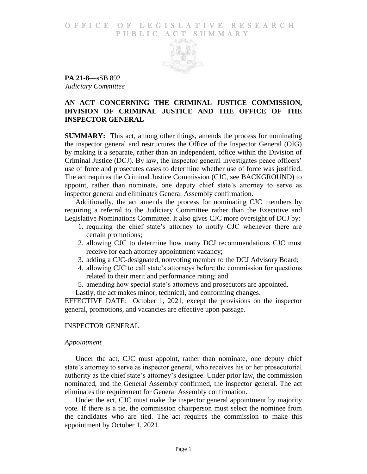### O F FICE OF LEGISLATIVE RESEARCH PUBLIC ACT SUMMARY



**PA 21-8**—sSB 892 *Judiciary Committee*

## **AN ACT CONCERNING THE CRIMINAL JUSTICE COMMISSION, DIVISION OF CRIMINAL JUSTICE AND THE OFFICE OF THE INSPECTOR GENERAL**

**SUMMARY:** This act, among other things, amends the process for nominating the inspector general and restructures the Office of the Inspector General (OIG) by making it a separate, rather than an independent, office within the Division of Criminal Justice (DCJ). By law, the inspector general investigates peace officers' use of force and prosecutes cases to determine whether use of force was justified. The act requires the Criminal Justice Commission (CJC, see BACKGROUND) to appoint, rather than nominate, one deputy chief state's attorney to serve as inspector general and eliminates General Assembly confirmation.

Additionally, the act amends the process for nominating CJC members by requiring a referral to the Judiciary Committee rather than the Executive and Legislative Nominations Committee. It also gives CJC more oversight of DCJ by:

- 1. requiring the chief state's attorney to notify CJC whenever there are certain promotions;
- 2. allowing CJC to determine how many DCJ recommendations CJC must receive for each attorney appointment vacancy;
- 3. adding a CJC-designated, nonvoting member to the DCJ Advisory Board;
- 4. allowing CJC to call state's attorneys before the commission for questions related to their merit and performance rating; and
- 5. amending how special state's attorneys and prosecutors are appointed.

Lastly, the act makes minor, technical, and conforming changes.

EFFECTIVE DATE: October 1, 2021, except the provisions on the inspector general, promotions, and vacancies are effective upon passage.

#### INSPECTOR GENERAL

#### *Appointment*

Under the act, CJC must appoint, rather than nominate, one deputy chief state's attorney to serve as inspector general, who receives his or her prosecutorial authority as the chief state's attorney's designee. Under prior law, the commission nominated, and the General Assembly confirmed, the inspector general. The act eliminates the requirement for General Assembly confirmation.

Under the act, CJC must make the inspector general appointment by majority vote. If there is a tie, the commission chairperson must select the nominee from the candidates who are tied. The act requires the commission to make this appointment by October 1, 2021.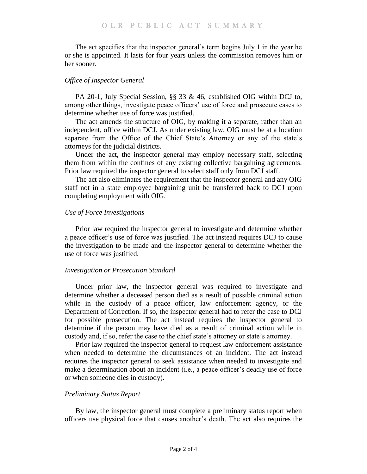The act specifies that the inspector general's term begins July 1 in the year he or she is appointed. It lasts for four years unless the commission removes him or her sooner.

## *Office of Inspector General*

PA 20-1, July Special Session, §§ 33 & 46, established OIG within DCJ to, among other things, investigate peace officers' use of force and prosecute cases to determine whether use of force was justified.

The act amends the structure of OIG, by making it a separate, rather than an independent, office within DCJ. As under existing law, OIG must be at a location separate from the Office of the Chief State's Attorney or any of the state's attorneys for the judicial districts.

Under the act, the inspector general may employ necessary staff, selecting them from within the confines of any existing collective bargaining agreements. Prior law required the inspector general to select staff only from DCJ staff.

The act also eliminates the requirement that the inspector general and any OIG staff not in a state employee bargaining unit be transferred back to DCJ upon completing employment with OIG.

### *Use of Force Investigations*

Prior law required the inspector general to investigate and determine whether a peace officer's use of force was justified. The act instead requires DCJ to cause the investigation to be made and the inspector general to determine whether the use of force was justified.

#### *Investigation or Prosecution Standard*

Under prior law, the inspector general was required to investigate and determine whether a deceased person died as a result of possible criminal action while in the custody of a peace officer, law enforcement agency, or the Department of Correction. If so, the inspector general had to refer the case to DCJ for possible prosecution. The act instead requires the inspector general to determine if the person may have died as a result of criminal action while in custody and, if so, refer the case to the chief state's attorney or state's attorney.

Prior law required the inspector general to request law enforcement assistance when needed to determine the circumstances of an incident. The act instead requires the inspector general to seek assistance when needed to investigate and make a determination about an incident (i.e., a peace officer's deadly use of force or when someone dies in custody).

#### *Preliminary Status Report*

By law, the inspector general must complete a preliminary status report when officers use physical force that causes another's death. The act also requires the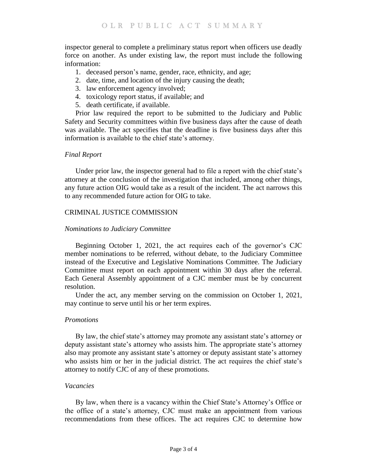inspector general to complete a preliminary status report when officers use deadly force on another. As under existing law, the report must include the following information:

- 1. deceased person's name, gender, race, ethnicity, and age;
- 2. date, time, and location of the injury causing the death;
- 3. law enforcement agency involved;
- 4. toxicology report status, if available; and
- 5. death certificate, if available.

Prior law required the report to be submitted to the Judiciary and Public Safety and Security committees within five business days after the cause of death was available. The act specifies that the deadline is five business days after this information is available to the chief state's attorney.

### *Final Report*

Under prior law, the inspector general had to file a report with the chief state's attorney at the conclusion of the investigation that included, among other things, any future action OIG would take as a result of the incident. The act narrows this to any recommended future action for OIG to take.

### CRIMINAL JUSTICE COMMISSION

#### *Nominations to Judiciary Committee*

Beginning October 1, 2021, the act requires each of the governor's CJC member nominations to be referred, without debate, to the Judiciary Committee instead of the Executive and Legislative Nominations Committee. The Judiciary Committee must report on each appointment within 30 days after the referral. Each General Assembly appointment of a CJC member must be by concurrent resolution.

Under the act, any member serving on the commission on October 1, 2021, may continue to serve until his or her term expires.

#### *Promotions*

By law, the chief state's attorney may promote any assistant state's attorney or deputy assistant state's attorney who assists him. The appropriate state's attorney also may promote any assistant state's attorney or deputy assistant state's attorney who assists him or her in the judicial district. The act requires the chief state's attorney to notify CJC of any of these promotions.

### *Vacancies*

By law, when there is a vacancy within the Chief State's Attorney's Office or the office of a state's attorney, CJC must make an appointment from various recommendations from these offices. The act requires CJC to determine how